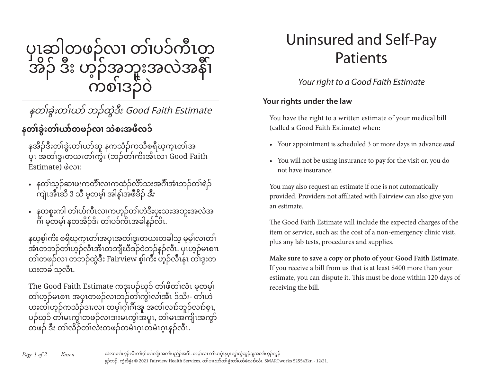

## နတၢ်ခွဲးတၢ်ယာ် ဘၣ်ထွဲဒီး Good Faith Estimate

### **နတၢ်ခွဲးတၢ်ယာ်တဖၣ်လၢ သဲစးအဖီလ၁်**

နအိၣ်ဒီးတၢ်ခွဲးတၢ်ယာ်ဆူ နကသံၣ်ကသီစရီဃ့က့ၤတၢ်အ ပှ့ၤ အတၢ်ဒွးတယးတၢ်ကွဲး (ဘၣ်တၢ်ကိးအီၤလၢ Good Faith Estimate) ဖဲလၢ:

- နတၢ်သ့ၣ်ဆၢဖးကတီၢ်လၢကထံၣ်လိာ်သးအဂီၢ်အံၤဘၣ်တၢ်ရဲၣ် ကျဲၤအီၤဆိ 3 သီ မ့တမ့ၢ် အါန့ၢ်အဖီခိၣ် **ဒီး**
- နတစူးကါ တၢ်ပာ်ကီၤလၢကဟ့ၣ်တၢ်ဟဲဒိးပၠးသးအဘူးအလဲအ ဂီၢ မ့တမဲ့၊ နတအိဉ်ဒီး တဲ၊ပ၁်ကီၤအခါနဉ်လီၤ.

နဃ့စ့ၢ်ကီး စရီဃ့က့ၤတၢ်အပှ့ၤအတၢ်ဒွးတယးတခါသ့ မ့မ့ၢ်လၢတၢ် အံၤတဘၣ်တၢ်ဟ့ၣ်လီၤအီၤတဘျီဃီဒၣ်ဝဲဘၣ်န့ၣ်လီၤ. ပှၤဟ့ၣ်မၤစၢၤ တဲ၊တဖဉ်လၢ တဘဉ်ထွဲဒီး Fairview စ့်၊ကီး ဟ့ဉ်လီၤနၤ တဲ၊ဒွးတ ယးတခါသလီၤ.

The Good Faith Estimate ကဒုးပဉ်ဃု၁် တၢ်ဖိတၢ်လံၤ မှတမှ၊် တၢ်ဟ့ၣ်မၤစၢၤ အပှ့ၤတဖၣ်လၢဘၣ်တၢ်ကွၢ်လၢ်အီၤ ဒ်သိး- တၢ်ဟဲ ဟးတၢ်ဟ့ၣ်ကသံၣ်ဒၢးလၢ တမ့ၢ်ဂ့ၢ်ဂီၢ်အူ အတၢ်လၢာ်ဘူၣ်လၢာ်စ့ၤ, ပၣ်ဃု၁် တၢ်မၤကွၢ်တဖၣ်လၢဒၢးမၤကွၢ်အပူၤ, တၢ်မၤအကျိၤအကွာ် တဖၣ် ဒီး တၢ်လိၣ်တၢ်လဲးတဖၣ်တမံၤဂ့ၤတမံၤဂ့ၤန့ၣ်လီၤ.

# Uninsured and Self-Pay Patients

#### *Your right to a Good Faith Estimate*

#### **Your rights under the law**

You have the right to a written estimate of your medical bill (called a Good Faith Estimate) when:

- Your appointment is scheduled 3 or more days in advance *and*
- You will not be using insurance to pay for the visit or, you do not have insurance.

You may also request an estimate if one is not automatically provided. Providers not affiliated with Fairview can also give you an estimate.

The Good Faith Estimate will include the expected charges of the item or service, such as: the cost of a non-emergency clinic visit, plus any lab tests, procedures and supplies.

**Make sure to save a copy or photo of your Good Faith Estimate.** If you receive a bill from us that is at least \$400 more than your estimate, you can dispute it. This must be done within 120 days of receiving the bill.